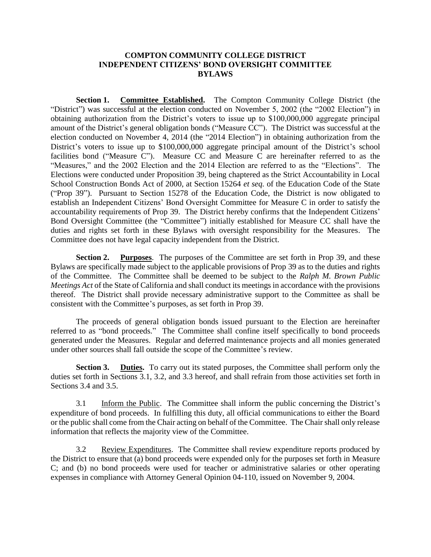### **COMPTON COMMUNITY COLLEGE DISTRICT INDEPENDENT CITIZENS' BOND OVERSIGHT COMMITTEE BYLAWS**

**Section 1. Committee Established.** The Compton Community College District (the "District") was successful at the election conducted on November 5, 2002 (the "2002 Election") in obtaining authorization from the District's voters to issue up to \$100,000,000 aggregate principal amount of the District's general obligation bonds ("Measure CC"). The District was successful at the election conducted on November 4, 2014 (the "2014 Election") in obtaining authorization from the District's voters to issue up to \$100,000,000 aggregate principal amount of the District's school facilities bond ("Measure C"). Measure CC and Measure C are hereinafter referred to as the "Measures," and the 2002 Election and the 2014 Election are referred to as the "Elections". The Elections were conducted under Proposition 39, being chaptered as the Strict Accountability in Local School Construction Bonds Act of 2000, at Section 15264 *et seq.* of the Education Code of the State ("Prop 39"). Pursuant to Section 15278 of the Education Code, the District is now obligated to establish an Independent Citizens' Bond Oversight Committee for Measure C in order to satisfy the accountability requirements of Prop 39. The District hereby confirms that the Independent Citizens' Bond Oversight Committee (the "Committee") initially established for Measure CC shall have the duties and rights set forth in these Bylaws with oversight responsibility for the Measures. The Committee does not have legal capacity independent from the District.

**Section 2. Purposes**. The purposes of the Committee are set forth in Prop 39, and these Bylaws are specifically made subject to the applicable provisions of Prop 39 as to the duties and rights of the Committee. The Committee shall be deemed to be subject to the *Ralph M. Brown Public Meetings Act* of the State of California and shall conduct its meetings in accordance with the provisions thereof. The District shall provide necessary administrative support to the Committee as shall be consistent with the Committee's purposes, as set forth in Prop 39.

The proceeds of general obligation bonds issued pursuant to the Election are hereinafter referred to as "bond proceeds." The Committee shall confine itself specifically to bond proceeds generated under the Measures. Regular and deferred maintenance projects and all monies generated under other sources shall fall outside the scope of the Committee's review.

**Section 3. Duties.** To carry out its stated purposes, the Committee shall perform only the duties set forth in Sections 3.1, 3.2, and 3.3 hereof, and shall refrain from those activities set forth in Sections 3.4 and 3.5.

3.1 Inform the Public. The Committee shall inform the public concerning the District's expenditure of bond proceeds. In fulfilling this duty, all official communications to either the Board or the public shall come from the Chair acting on behalf of the Committee. The Chair shall only release information that reflects the majority view of the Committee.

3.2 Review Expenditures. The Committee shall review expenditure reports produced by the District to ensure that (a) bond proceeds were expended only for the purposes set forth in Measure C; and (b) no bond proceeds were used for teacher or administrative salaries or other operating expenses in compliance with Attorney General Opinion 04-110, issued on November 9, 2004.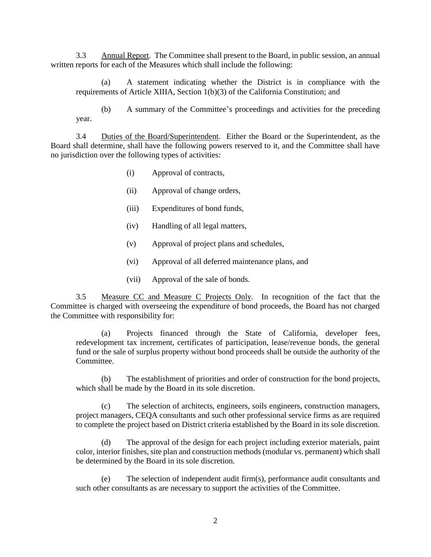3.3 Annual Report. The Committee shall present to the Board, in public session, an annual written reports for each of the Measures which shall include the following:

(a) A statement indicating whether the District is in compliance with the requirements of Article XIIIA, Section 1(b)(3) of the California Constitution; and

(b) A summary of the Committee's proceedings and activities for the preceding year.

3.4 Duties of the Board/Superintendent. Either the Board or the Superintendent, as the Board shall determine, shall have the following powers reserved to it, and the Committee shall have no jurisdiction over the following types of activities:

- (i) Approval of contracts,
- (ii) Approval of change orders,
- (iii) Expenditures of bond funds,
- (iv) Handling of all legal matters,
- (v) Approval of project plans and schedules,
- (vi) Approval of all deferred maintenance plans, and
- (vii) Approval of the sale of bonds.

3.5 Measure CC and Measure C Projects Only. In recognition of the fact that the Committee is charged with overseeing the expenditure of bond proceeds, the Board has not charged the Committee with responsibility for:

(a) Projects financed through the State of California, developer fees, redevelopment tax increment, certificates of participation, lease/revenue bonds, the general fund or the sale of surplus property without bond proceeds shall be outside the authority of the Committee.

(b) The establishment of priorities and order of construction for the bond projects, which shall be made by the Board in its sole discretion.

(c) The selection of architects, engineers, soils engineers, construction managers, project managers, CEQA consultants and such other professional service firms as are required to complete the project based on District criteria established by the Board in its sole discretion.

(d) The approval of the design for each project including exterior materials, paint color, interior finishes, site plan and construction methods (modular vs. permanent) which shall be determined by the Board in its sole discretion.

(e) The selection of independent audit firm(s), performance audit consultants and such other consultants as are necessary to support the activities of the Committee.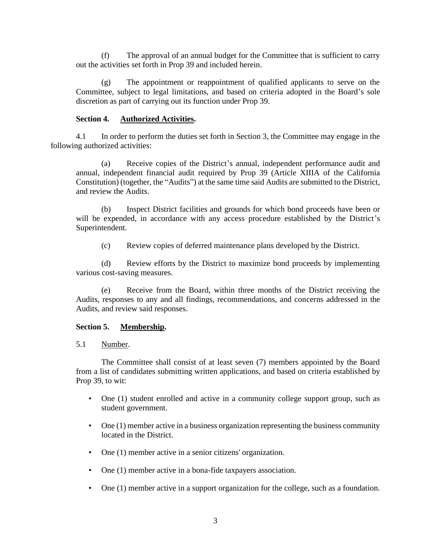(f) The approval of an annual budget for the Committee that is sufficient to carry out the activities set forth in Prop 39 and included herein.

(g) The appointment or reappointment of qualified applicants to serve on the Committee, subject to legal limitations, and based on criteria adopted in the Board's sole discretion as part of carrying out its function under Prop 39.

### **Section 4. Authorized Activities.**

4.1 In order to perform the duties set forth in Section 3, the Committee may engage in the following authorized activities:

(a) Receive copies of the District's annual, independent performance audit and annual, independent financial audit required by Prop 39 (Article XIIIA of the California Constitution) (together, the "Audits") at the same time said Audits are submitted to the District, and review the Audits.

(b) Inspect District facilities and grounds for which bond proceeds have been or will be expended, in accordance with any access procedure established by the District's Superintendent.

(c) Review copies of deferred maintenance plans developed by the District.

(d) Review efforts by the District to maximize bond proceeds by implementing various cost-saving measures.

(e) Receive from the Board, within three months of the District receiving the Audits, responses to any and all findings, recommendations, and concerns addressed in the Audits, and review said responses.

#### **Section 5. Membership.**

5.1 Number.

The Committee shall consist of at least seven (7) members appointed by the Board from a list of candidates submitting written applications, and based on criteria established by Prop 39, to wit:

- One (1) student enrolled and active in a community college support group, such as student government.
- One (1) member active in a business organization representing the business community located in the District.
- One (1) member active in a senior citizens' organization.
- One (1) member active in a bona-fide taxpayers association.
- One (1) member active in a support organization for the college, such as a foundation.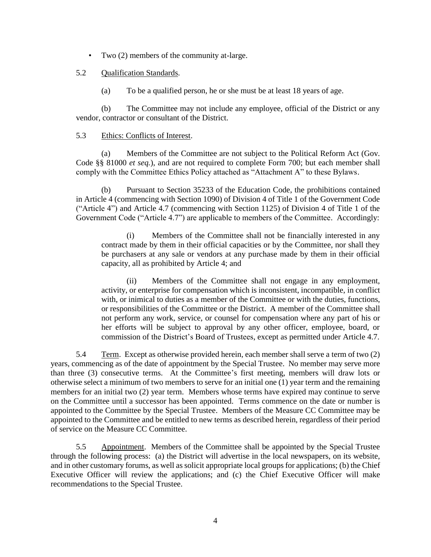• Two (2) members of the community at-large.

### 5.2 Qualification Standards.

(a) To be a qualified person, he or she must be at least 18 years of age.

(b) The Committee may not include any employee, official of the District or any vendor, contractor or consultant of the District.

### 5.3 Ethics: Conflicts of Interest.

(a) Members of the Committee are not subject to the Political Reform Act (Gov. Code §§ 81000 *et seq.*), and are not required to complete Form 700; but each member shall comply with the Committee Ethics Policy attached as "Attachment A" to these Bylaws.

(b) Pursuant to Section 35233 of the Education Code, the prohibitions contained in Article 4 (commencing with Section 1090) of Division 4 of Title 1 of the Government Code ("Article 4") and Article 4.7 (commencing with Section 1125) of Division 4 of Title 1 of the Government Code ("Article 4.7") are applicable to members of the Committee. Accordingly:

(i) Members of the Committee shall not be financially interested in any contract made by them in their official capacities or by the Committee, nor shall they be purchasers at any sale or vendors at any purchase made by them in their official capacity, all as prohibited by Article 4; and

(ii) Members of the Committee shall not engage in any employment, activity, or enterprise for compensation which is inconsistent, incompatible, in conflict with, or inimical to duties as a member of the Committee or with the duties, functions, or responsibilities of the Committee or the District. A member of the Committee shall not perform any work, service, or counsel for compensation where any part of his or her efforts will be subject to approval by any other officer, employee, board, or commission of the District's Board of Trustees, except as permitted under Article 4.7.

5.4 Term. Except as otherwise provided herein, each member shall serve a term of two (2) years, commencing as of the date of appointment by the Special Trustee. No member may serve more than three (3) consecutive terms. At the Committee's first meeting, members will draw lots or otherwise select a minimum of two members to serve for an initial one (1) year term and the remaining members for an initial two (2) year term. Members whose terms have expired may continue to serve on the Committee until a successor has been appointed. Terms commence on the date or number is appointed to the Committee by the Special Trustee. Members of the Measure CC Committee may be appointed to the Committee and be entitled to new terms as described herein, regardless of their period of service on the Measure CC Committee.

5.5 Appointment. Members of the Committee shall be appointed by the Special Trustee through the following process: (a) the District will advertise in the local newspapers, on its website, and in other customary forums, as well as solicit appropriate local groups for applications; (b) the Chief Executive Officer will review the applications; and (c) the Chief Executive Officer will make recommendations to the Special Trustee.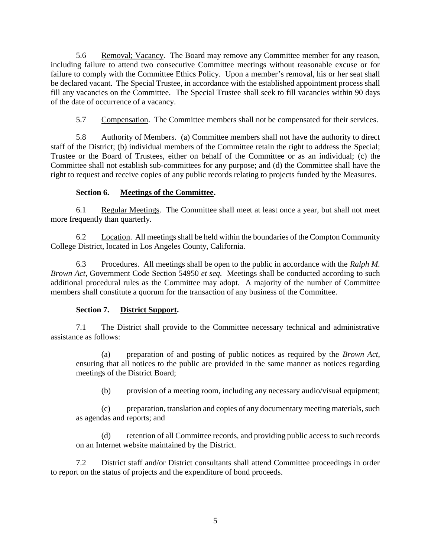5.6 Removal; Vacancy. The Board may remove any Committee member for any reason, including failure to attend two consecutive Committee meetings without reasonable excuse or for failure to comply with the Committee Ethics Policy. Upon a member's removal, his or her seat shall be declared vacant. The Special Trustee, in accordance with the established appointment process shall fill any vacancies on the Committee. The Special Trustee shall seek to fill vacancies within 90 days of the date of occurrence of a vacancy.

5.7 Compensation. The Committee members shall not be compensated for their services.

5.8 Authority of Members. (a) Committee members shall not have the authority to direct staff of the District; (b) individual members of the Committee retain the right to address the Special; Trustee or the Board of Trustees, either on behalf of the Committee or as an individual; (c) the Committee shall not establish sub-committees for any purpose; and (d) the Committee shall have the right to request and receive copies of any public records relating to projects funded by the Measures.

# **Section 6. Meetings of the Committee.**

6.1 Regular Meetings. The Committee shall meet at least once a year, but shall not meet more frequently than quarterly.

6.2 Location. All meetings shall be held within the boundaries of the Compton Community College District, located in Los Angeles County, California.

6.3 Procedures. All meetings shall be open to the public in accordance with the *Ralph M. Brown Act*, Government Code Section 54950 *et seq.* Meetings shall be conducted according to such additional procedural rules as the Committee may adopt. A majority of the number of Committee members shall constitute a quorum for the transaction of any business of the Committee.

# **Section 7. District Support.**

7.1 The District shall provide to the Committee necessary technical and administrative assistance as follows:

(a) preparation of and posting of public notices as required by the *Brown Act*, ensuring that all notices to the public are provided in the same manner as notices regarding meetings of the District Board;

(b) provision of a meeting room, including any necessary audio/visual equipment;

(c) preparation, translation and copies of any documentary meeting materials, such as agendas and reports; and

(d) retention of all Committee records, and providing public access to such records on an Internet website maintained by the District.

7.2 District staff and/or District consultants shall attend Committee proceedings in order to report on the status of projects and the expenditure of bond proceeds.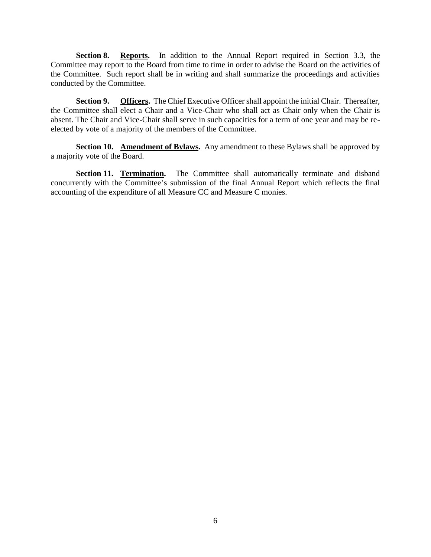**Section 8. Reports.** In addition to the Annual Report required in Section 3.3, the Committee may report to the Board from time to time in order to advise the Board on the activities of the Committee. Such report shall be in writing and shall summarize the proceedings and activities conducted by the Committee.

**Section 9. Officers.** The Chief Executive Officer shall appoint the initial Chair. Thereafter, the Committee shall elect a Chair and a Vice-Chair who shall act as Chair only when the Chair is absent. The Chair and Vice-Chair shall serve in such capacities for a term of one year and may be reelected by vote of a majority of the members of the Committee.

**Section 10. Amendment of Bylaws.** Any amendment to these Bylaws shall be approved by a majority vote of the Board.

**Section 11. Termination.** The Committee shall automatically terminate and disband concurrently with the Committee's submission of the final Annual Report which reflects the final accounting of the expenditure of all Measure CC and Measure C monies.